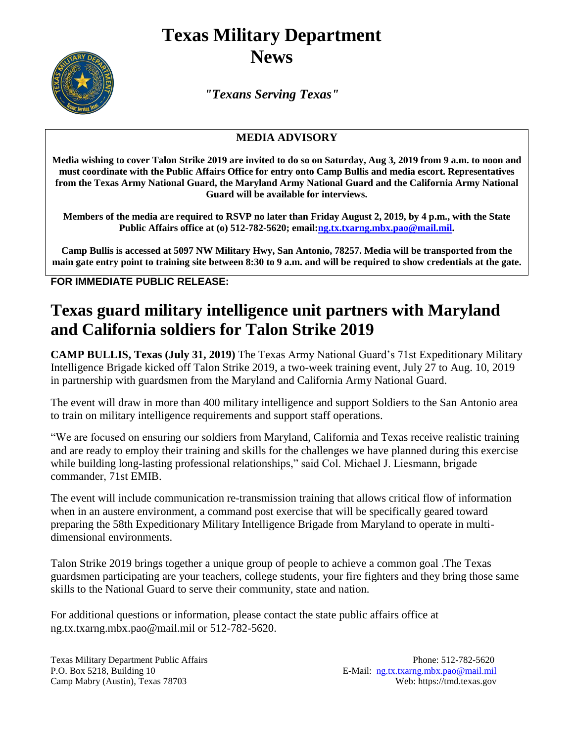## **Texas Military Department News**



*"Texans Serving Texas"*

## **MEDIA ADVISORY**

**Media wishing to cover Talon Strike 2019 are invited to do so on Saturday, Aug 3, 2019 from 9 a.m. to noon and must coordinate with the Public Affairs Office for entry onto Camp Bullis and media escort. Representatives from the Texas Army National Guard, the Maryland Army National Guard and the California Army National Guard will be available for interviews.**

**Members of the media are required to RSVP no later than Friday August 2, 2019, by 4 p.m., with the State Public Affairs office at (o) 512-782-5620; email[:ng.tx.txarng.mbx.pao@mail.mil.](mailto:ng.tx.txarng.mbx.pao@mail.mil)**

**Camp Bullis is accessed at 5097 NW Military Hwy, San Antonio, 78257. Media will be transported from the main gate entry point to training site between 8:30 to 9 a.m. and will be required to show credentials at the gate.**

**FOR IMMEDIATE PUBLIC RELEASE:**

## **Texas guard military intelligence unit partners with Maryland and California soldiers for Talon Strike 2019**

**CAMP BULLIS, Texas (July 31, 2019)** The Texas Army National Guard's 71st Expeditionary Military Intelligence Brigade kicked off Talon Strike 2019, a two-week training event, July 27 to Aug. 10, 2019 in partnership with guardsmen from the Maryland and California Army National Guard.

The event will draw in more than 400 military intelligence and support Soldiers to the San Antonio area to train on military intelligence requirements and support staff operations.

"We are focused on ensuring our soldiers from Maryland, California and Texas receive realistic training and are ready to employ their training and skills for the challenges we have planned during this exercise while building long-lasting professional relationships," said Col. Michael J. Liesmann, brigade commander, 71st EMIB.

The event will include communication re-transmission training that allows critical flow of information when in an austere environment, a command post exercise that will be specifically geared toward preparing the 58th Expeditionary Military Intelligence Brigade from Maryland to operate in multidimensional environments.

Talon Strike 2019 brings together a unique group of people to achieve a common goal .The Texas guardsmen participating are your teachers, college students, your fire fighters and they bring those same skills to the National Guard to serve their community, state and nation.

For additional questions or information, please contact the state public affairs office at ng.tx.txarng.mbx.pao@mail.mil or 512-782-5620.

Texas Military Department Public Affairs Phone: 512-782-5620 P.O. Box 5218, Building 10 E-Mail: [ng.tx.txarng.mbx.pao@mail.mil](mailto:ng.tx.txarng.mbx.pao@mail.mil) Camp Mabry (Austin), Texas 78703 Web: https://tmd.texas.gov